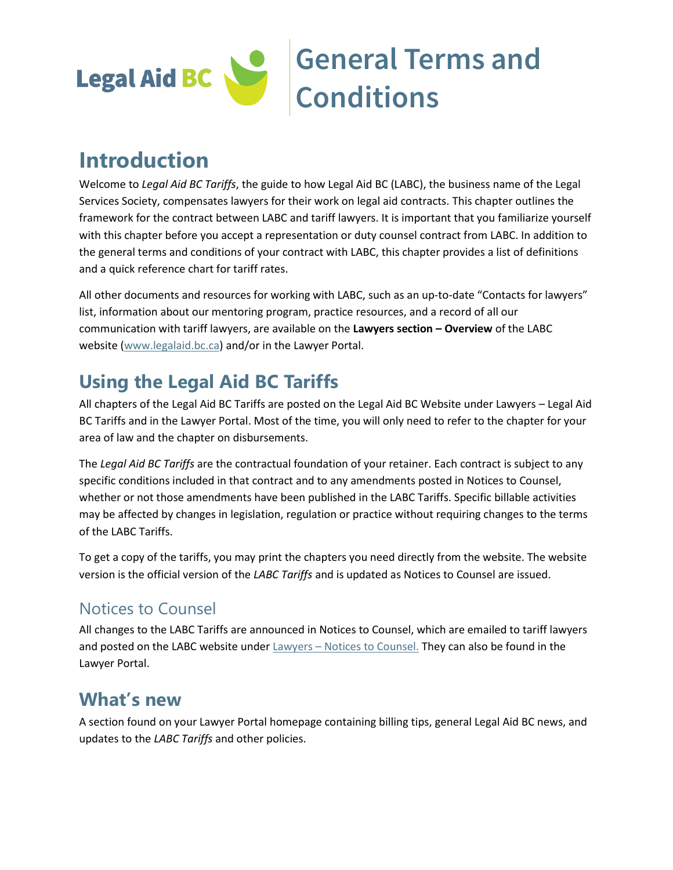

# **Introduction**

Welcome to *Legal Aid BC Tariffs*, the guide to how Legal Aid BC (LABC), the business name of the Legal Services Society, compensates lawyers for their work on legal aid contracts. This chapter outlines the framework for the contract between LABC and tariff lawyers. It is important that you familiarize yourself with this chapter before you accept a representation or duty counsel contract from LABC. In addition to the general terms and conditions of your contract with LABC, this chapter provides a list of definitions and a quick reference chart for tariff rates.

All other documents and resources for working with LABC, such as an up-to-date "Contacts for lawyers" list, information about our mentoring program, practice resources, and a record of all our communication with tariff lawyers, are available on the **Lawyers section – Overview** of the LABC website [\(www.legalaid.bc.ca\)](http://www.legalaid.bc.ca/) and/or in the Lawyer Portal.

# **Using the Legal Aid BC Tariffs**

All chapters of the Legal Aid BC Tariffs are posted on the Legal Aid BC Website under Lawyers – Legal Aid BC Tariffs and in the Lawyer Portal. Most of the time, you will only need to refer to the chapter for your area of law and the chapter on disbursements.

The *Legal Aid BC Tariffs* are the contractual foundation of your retainer. Each contract is subject to any specific conditions included in that contract and to any amendments posted in Notices to Counsel, whether or not those amendments have been published in the LABC Tariffs. Specific billable activities may be affected by changes in legislation, regulation or practice without requiring changes to the terms of the LABC Tariffs.

To get a copy of the tariffs, you may print the chapters you need directly from the website. The website version is the official version of the *LABC Tariffs* and is updated as Notices to Counsel are issued.

### Notices to Counsel

All changes to the LABC Tariffs are announced in Notices to Counsel, which are emailed to tariff lawyers and posted on the LABC website under Lawyers - [Notices to Counsel.](https://legalaid.bc.ca/lawyers/noticesToCounsel) They can also be found in the Lawyer Portal.

### **What's new**

A section found on your Lawyer Portal homepage containing billing tips, general Legal Aid BC news, and updates to the *LABC Tariffs* and other policies.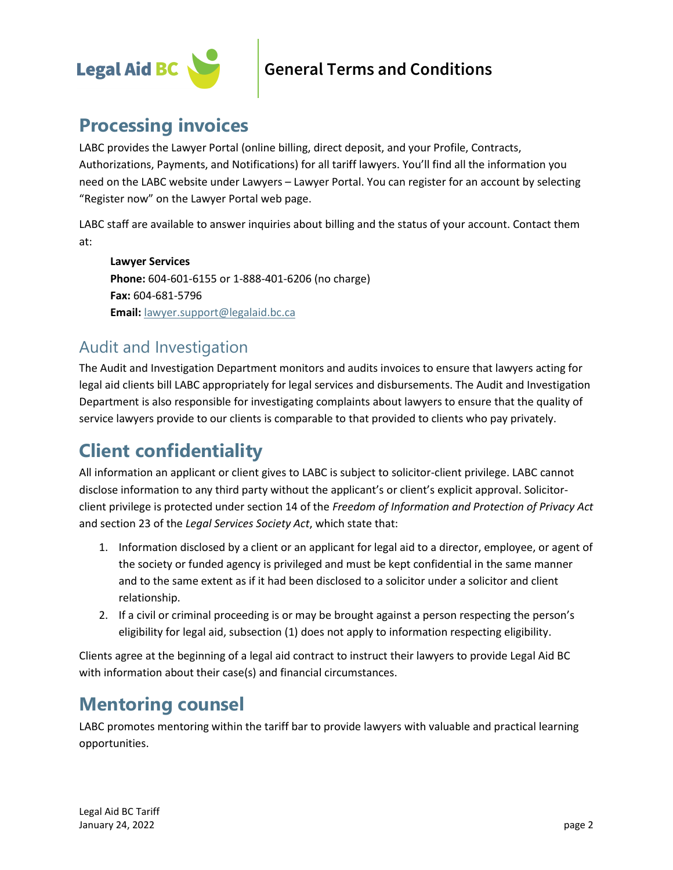

### **Processing invoices**

LABC provides the Lawyer Portal (online billing, direct deposit, and your Profile, Contracts, Authorizations, Payments, and Notifications) for all tariff lawyers. You'll find all the information you need on the LABC website under Lawyers – Lawyer Portal. You can register for an account by selecting "Register now" on the Lawyer Portal web page.

LABC staff are available to answer inquiries about billing and the status of your account. Contact them at:

**Lawyer Services Phone:** 604-601-6155 or 1-888-401-6206 (no charge) **Fax:** 604-681-5796 **Email:** [lawyer.support@legalaid.bc.ca](mailto:lawyer.support@legalaid.bc.ca)

### Audit and Investigation

The Audit and Investigation Department monitors and audits invoices to ensure that lawyers acting for legal aid clients bill LABC appropriately for legal services and disbursements. The Audit and Investigation Department is also responsible for investigating complaints about lawyers to ensure that the quality of service lawyers provide to our clients is comparable to that provided to clients who pay privately.

# **Client confidentiality**

All information an applicant or client gives to LABC is subject to solicitor-client privilege. LABC cannot disclose information to any third party without the applicant's or client's explicit approval. Solicitorclient privilege is protected under section 14 of the *Freedom of Information and Protection of Privacy Act*  and section 23 of the *Legal Services Society Act*, which state that:

- 1. Information disclosed by a client or an applicant for legal aid to a director, employee, or agent of the society or funded agency is privileged and must be kept confidential in the same manner and to the same extent as if it had been disclosed to a solicitor under a solicitor and client relationship.
- 2. If a civil or criminal proceeding is or may be brought against a person respecting the person's eligibility for legal aid, subsection (1) does not apply to information respecting eligibility.

Clients agree at the beginning of a legal aid contract to instruct their lawyers to provide Legal Aid BC with information about their case(s) and financial circumstances.

# **Mentoring counsel**

LABC promotes mentoring within the tariff bar to provide lawyers with valuable and practical learning opportunities.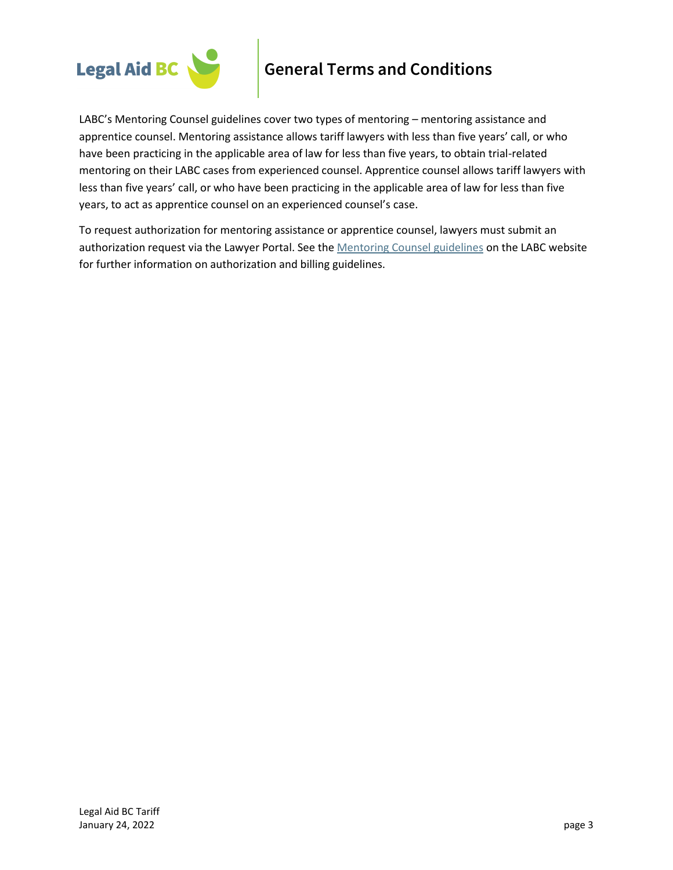

LABC's Mentoring Counsel guidelines cover two types of mentoring – mentoring assistance and apprentice counsel. Mentoring assistance allows tariff lawyers with less than five years' call, or who have been practicing in the applicable area of law for less than five years, to obtain trial-related mentoring on their LABC cases from experienced counsel. Apprentice counsel allows tariff lawyers with less than five years' call, or who have been practicing in the applicable area of law for less than five years, to act as apprentice counsel on an experienced counsel's case.

To request authorization for mentoring assistance or apprentice counsel, lawyers must submit an authorization request via the Lawyer Portal. See th[e Mentoring Counsel guidelines](https://legalaid.bc.ca/lawyers/practiceResources) on the LABC website for further information on authorization and billing guidelines.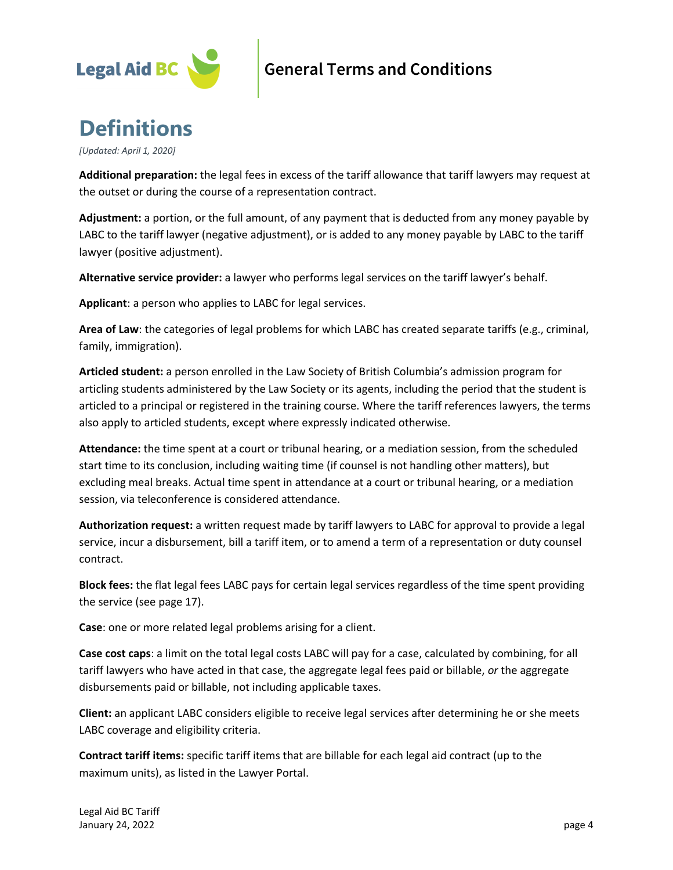

# **Definitions**

*[Updated: April 1, 2020]*

**Additional preparation:** the legal fees in excess of the tariff allowance that tariff lawyers may request at the outset or during the course of a representation contract.

**Adjustment:** a portion, or the full amount, of any payment that is deducted from any money payable by LABC to the tariff lawyer (negative adjustment), or is added to any money payable by LABC to the tariff lawyer (positive adjustment).

**Alternative service provider:** a lawyer who performs legal services on the tariff lawyer's behalf.

**Applicant**: a person who applies to LABC for legal services.

**Area of Law**: the categories of legal problems for which LABC has created separate tariffs (e.g., criminal, family, immigration).

**Articled student:** a person enrolled in the Law Society of British Columbia's admission program for articling students administered by the Law Society or its agents, including the period that the student is articled to a principal or registered in the training course. Where the tariff references lawyers, the terms also apply to articled students, except where expressly indicated otherwise.

**Attendance:** the time spent at a court or tribunal hearing, or a mediation session, from the scheduled start time to its conclusion, including waiting time (if counsel is not handling other matters), but excluding meal breaks. Actual time spent in attendance at a court or tribunal hearing, or a mediation session, via teleconference is considered attendance.

**Authorization request:** a written request made by tariff lawyers to LABC for approval to provide a legal service, incur a disbursement, bill a tariff item, or to amend a term of a representation or duty counsel contract.

**Block fees:** the flat legal fees LABC pays for certain legal services regardless of the time spent providing the service (see page 17).

**Case**: one or more related legal problems arising for a client.

**Case cost caps**: a limit on the total legal costs LABC will pay for a case, calculated by combining, for all tariff lawyers who have acted in that case, the aggregate legal fees paid or billable, *or* the aggregate disbursements paid or billable, not including applicable taxes.

**Client:** an applicant LABC considers eligible to receive legal services after determining he or she meets LABC coverage and eligibility criteria.

**Contract tariff items:** specific tariff items that are billable for each legal aid contract (up to the maximum units), as listed in the Lawyer Portal.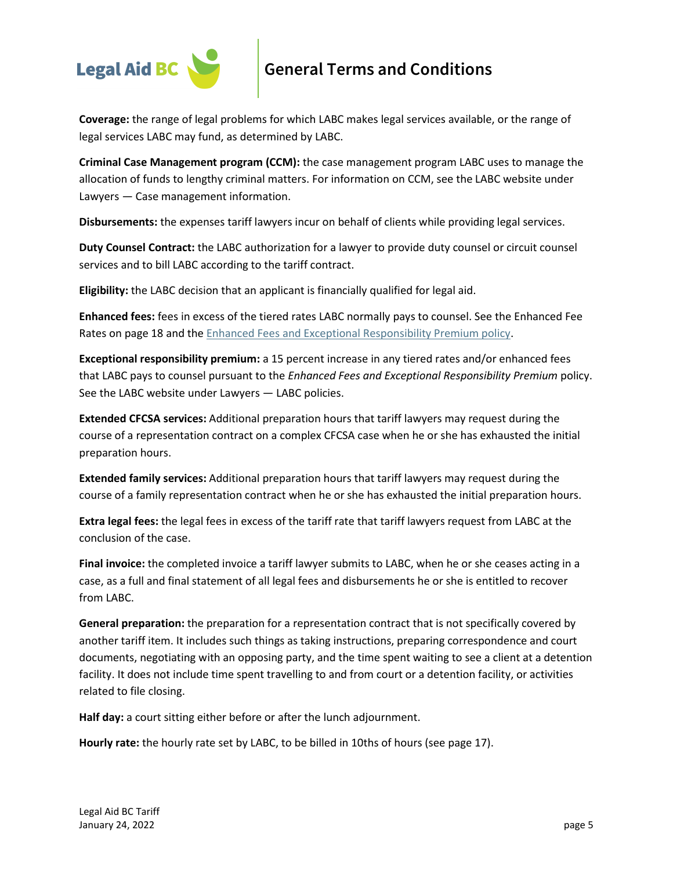

**Coverage:** the range of legal problems for which LABC makes legal services available, or the range of legal services LABC may fund, as determined by LABC.

**Criminal Case Management program (CCM):** the case management program LABC uses to manage the allocation of funds to lengthy criminal matters. For information on [CCM,](http://www.lss.bc.ca/lawyers/strategicCaseAssessmentProgram.asp) see the LABC website under Lawyers — Case management information.

**Disbursements:** the expenses tariff lawyers incur on behalf of clients while providing legal services.

**Duty Counsel Contract:** the LABC authorization for a lawyer to provide duty counsel or circuit counsel services and to bill LABC according to the tariff contract.

**Eligibility:** the LABC decision that an applicant is financially qualified for legal aid.

**Enhanced fees:** fees in excess of the tiered rates LABC normally pays to counsel. See the Enhanced Fee Rates on page 18 and the [Enhanced Fees and Exceptional Responsibility Premium policy.](https://legalaid.bc.ca/lawyers/policies)

**Exceptional responsibility premium:** a 15 percent increase in any tiered rates and/or enhanced fees that LABC pays to counsel pursuant to the *[Enhanced Fees and Exceptional Responsibility Premium](http://www.lss.bc.ca/assets/lawyers/enhancedFeesErpPolicy.pdf)* policy. See the LABC website under Lawyers — LABC policies.

**Extended CFCSA services:** Additional preparation hours that tariff lawyers may request during the course of a representation contract on a complex CFCSA case when he or she has exhausted the initial preparation hours.

**Extended family services:** Additional preparation hours that tariff lawyers may request during the course of a family representation contract when he or she has exhausted the initial preparation hours.

**Extra legal fees:** the legal fees in excess of the tariff rate that tariff lawyers request from LABC at the conclusion of the case.

**Final invoice:** the completed invoice a tariff lawyer submits to LABC, when he or she ceases acting in a case, as a full and final statement of all legal fees and disbursements he or she is entitled to recover from LABC.

**General preparation:** the preparation for a representation contract that is not specifically covered by another tariff item. It includes such things as taking instructions, preparing correspondence and court documents, negotiating with an opposing party, and the time spent waiting to see a client at a detention facility. It does not include time spent travelling to and from court or a detention facility, or activities related to file closing.

**Half day:** a court sitting either before or after the lunch adjournment.

**Hourly rate:** the hourly rate set by LABC, to be billed in 10ths of hours (see page 17).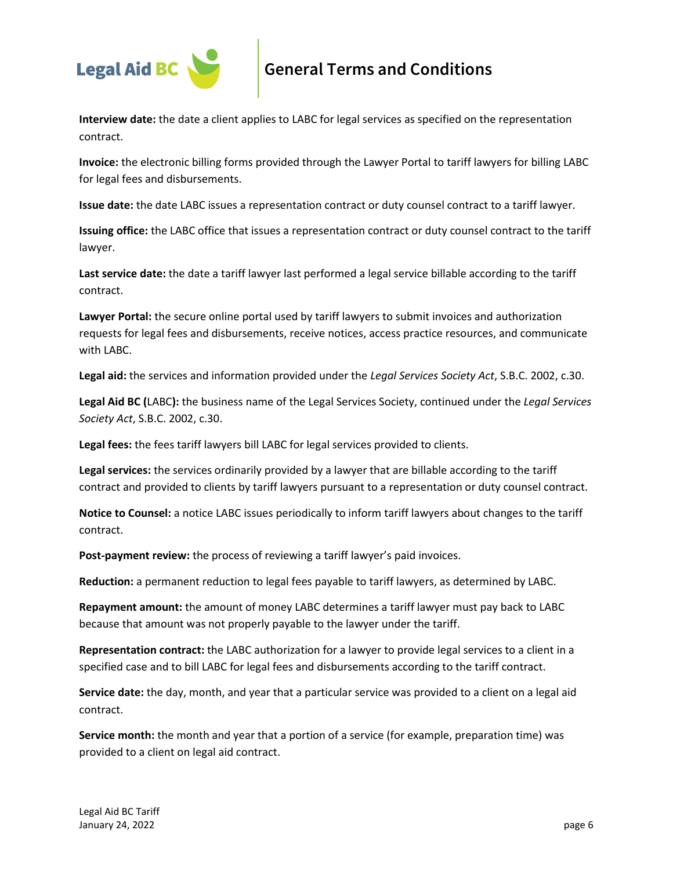

**Interview date:** the date a client applies to LABC for legal services as specified on the representation contract.

**Invoice:** the electronic billing forms provided through the Lawyer Portal to tariff lawyers for billing LABC for legal fees and disbursements.

**Issue date:** the date LABC issues a representation contract or duty counsel contract to a tariff lawyer.

**Issuing office:** the LABC office that issues a representation contract or duty counsel contract to the tariff lawyer.

**Last service date:** the date a tariff lawyer last performed a legal service billable according to the tariff contract.

**Lawyer Portal:** the secure online portal used by tariff lawyers to submit invoices and authorization requests for legal fees and disbursements, receive notices, access practice resources, and communicate with LABC.

**Legal aid:** the services and information provided under the *Legal Services Society Act*, S.B.C. 2002, c.30.

**Legal Aid BC (**LABC**):** the business name of the Legal Services Society, continued under the *Legal Services Society Act*, S.B.C. 2002, c.30.

**Legal fees:** the fees tariff lawyers bill LABC for legal services provided to clients.

**Legal services:** the services ordinarily provided by a lawyer that are billable according to the tariff contract and provided to clients by tariff lawyers pursuant to a representation or duty counsel contract.

**Notice to Counsel:** a notice LABC issues periodically to inform tariff lawyers about changes to the tariff contract.

**Post-payment review:** the process of reviewing a tariff lawyer's paid invoices.

**Reduction:** a permanent reduction to legal fees payable to tariff lawyers, as determined by LABC.

**Repayment amount:** the amount of money LABC determines a tariff lawyer must pay back to LABC because that amount was not properly payable to the lawyer under the tariff.

**Representation contract:** the LABC authorization for a lawyer to provide legal services to a client in a specified case and to bill LABC for legal fees and disbursements according to the tariff contract.

**Service date:** the day, month, and year that a particular service was provided to a client on a legal aid contract.

**Service month:** the month and year that a portion of a service (for example, preparation time) was provided to a client on legal aid contract.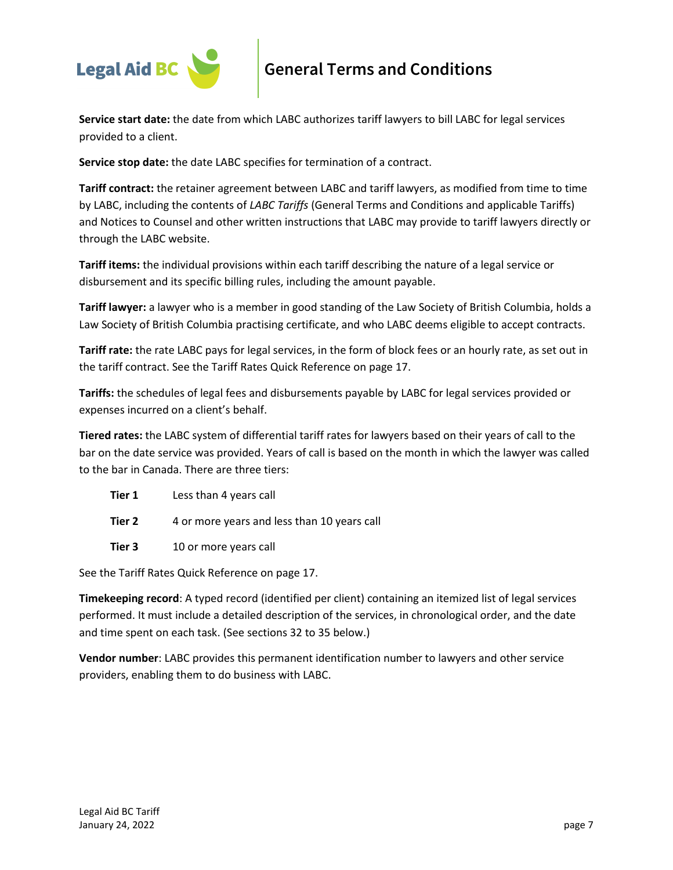

**Service start date:** the date from which LABC authorizes tariff lawyers to bill LABC for legal services provided to a client.

**Service stop date:** the date LABC specifies for termination of a contract.

**Tariff contract:** the retainer agreement between LABC and tariff lawyers, as modified from time to time by LABC, including the contents of *LABC Tariffs* (General Terms and Conditions and applicable Tariffs) and Notices to Counsel and other written instructions that LABC may provide to tariff lawyers directly or through the LABC website.

**Tariff items:** the individual provisions within each tariff describing the nature of a legal service or disbursement and its specific billing rules, including the amount payable.

**Tariff lawyer:** a lawyer who is a member in good standing of the Law Society of British Columbia, holds a Law Society of British Columbia practising certificate, and who LABC deems eligible to accept contracts.

**Tariff rate:** the rate LABC pays for legal services, in the form of block fees or an hourly rate, as set out in the tariff contract. See the Tariff Rates Quick Reference on page 17.

**Tariffs:** the schedules of legal fees and disbursements payable by LABC for legal services provided or expenses incurred on a client's behalf.

**Tiered rates:** the LABC system of differential tariff rates for lawyers based on their years of call to the bar on the date service was provided. Years of call is based on the month in which the lawyer was called to the bar in Canada. There are three tiers:

- **Tier 1** Less than 4 years call
- **Tier 2** 4 or more years and less than 10 years call
- **Tier 3** 10 or more years call

See the Tariff Rates Quick Reference on page 17.

**Timekeeping record**: A typed record (identified per client) containing an itemized list of legal services performed. It must include a detailed description of the services, in chronological order, and the date and time spent on each task. (See sections 32 to 35 below.)

**Vendor number**: LABC provides this permanent identification number to lawyers and other service providers, enabling them to do business with LABC.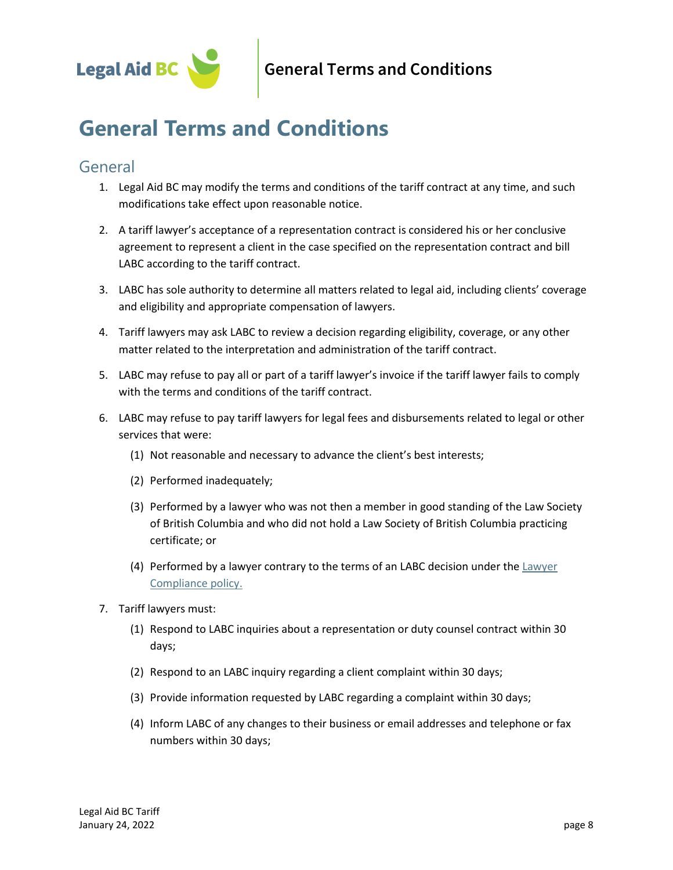

### General

- 1. Legal Aid BC may modify the terms and conditions of the tariff contract at any time, and such modifications take effect upon reasonable notice.
- 2. A tariff lawyer's acceptance of a representation contract is considered his or her conclusive agreement to represent a client in the case specified on the representation contract and bill LABC according to the tariff contract.
- 3. LABC has sole authority to determine all matters related to legal aid, including clients' coverage and eligibility and appropriate compensation of lawyers.
- 4. Tariff lawyers may ask LABC to review a decision regarding eligibility, coverage, or any other matter related to the interpretation and administration of the tariff contract.
- 5. LABC may refuse to pay all or part of a tariff lawyer's invoice if the tariff lawyer fails to comply with the terms and conditions of the tariff contract.
- 6. LABC may refuse to pay tariff lawyers for legal fees and disbursements related to legal or other services that were:
	- (1) Not reasonable and necessary to advance the client's best interests;
	- (2) Performed inadequately;
	- (3) Performed by a lawyer who was not then a member in good standing of the Law Society of British Columbia and who did not hold a Law Society of British Columbia practicing certificate; or
	- (4) Performed by a lawyer contrary to the terms of an LABC decision under the  $Lawyer$ [Compliance policy.](https://legalaid.bc.ca/lawyers/policies)
- 7. Tariff lawyers must:
	- (1) Respond to LABC inquiries about a representation or duty counsel contract within 30 days;
	- (2) Respond to an LABC inquiry regarding a client complaint within 30 days;
	- (3) Provide information requested by LABC regarding a complaint within 30 days;
	- (4) Inform LABC of any changes to their business or email addresses and telephone or fax numbers within 30 days;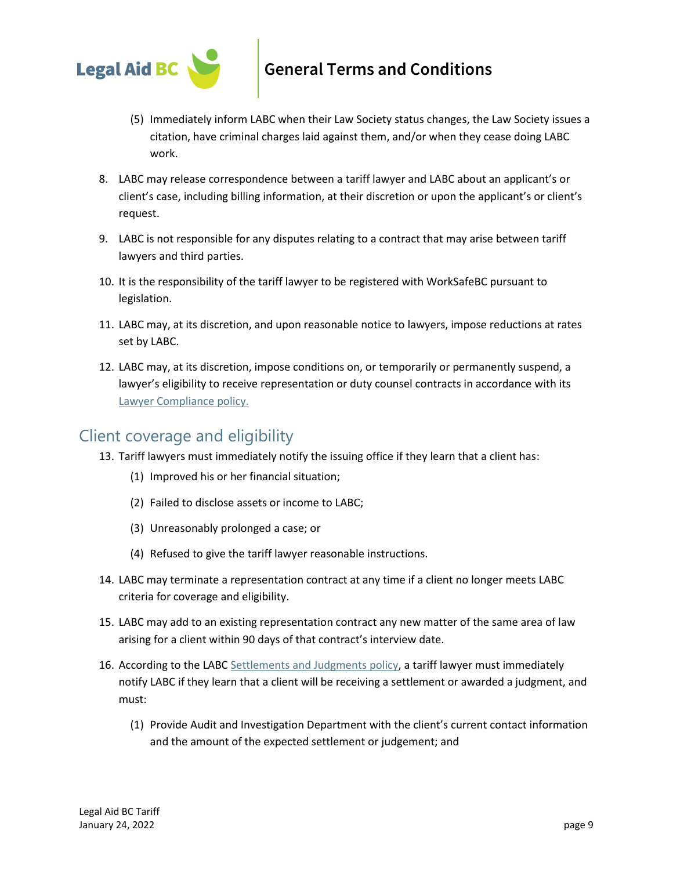

- (5) Immediately inform LABC when their Law Society status changes, the Law Society issues a citation, have criminal charges laid against them, and/or when they cease doing LABC work.
- 8. LABC may release correspondence between a tariff lawyer and LABC about an applicant's or client's case, including billing information, at their discretion or upon the applicant's or client's request.
- 9. LABC is not responsible for any disputes relating to a contract that may arise between tariff lawyers and third parties.
- 10. It is the responsibility of the tariff lawyer to be registered with WorkSafeBC pursuant to legislation.
- 11. LABC may, at its discretion, and upon reasonable notice to lawyers, impose reductions at rates set by LABC.
- 12. LABC may, at its discretion, impose conditions on, or temporarily or permanently suspend, a lawyer's eligibility to receive representation or duty counsel contracts in accordance with its [Lawyer Compliance policy.](https://legalaid.bc.ca/lawyers/policies)

### Client coverage and eligibility

- 13. Tariff lawyers must immediately notify the issuing office if they learn that a client has:
	- (1) Improved his or her financial situation;
	- (2) Failed to disclose assets or income to LABC;
	- (3) Unreasonably prolonged a case; or
	- (4) Refused to give the tariff lawyer reasonable instructions.
- 14. LABC may terminate a representation contract at any time if a client no longer meets LABC criteria for coverage and eligibility.
- 15. LABC may add to an existing representation contract any new matter of the same area of law arising for a client within 90 days of that contract's interview date.
- 16. According to the LABC [Settlements and Judgments policy,](https://legalaid.bc.ca/lawyers/policies) a tariff lawyer must immediately notify LABC if they learn that a client will be receiving a settlement or awarded a judgment, and must:
	- (1) Provide Audit and Investigation Department with the client's current contact information and the amount of the expected settlement or judgement; and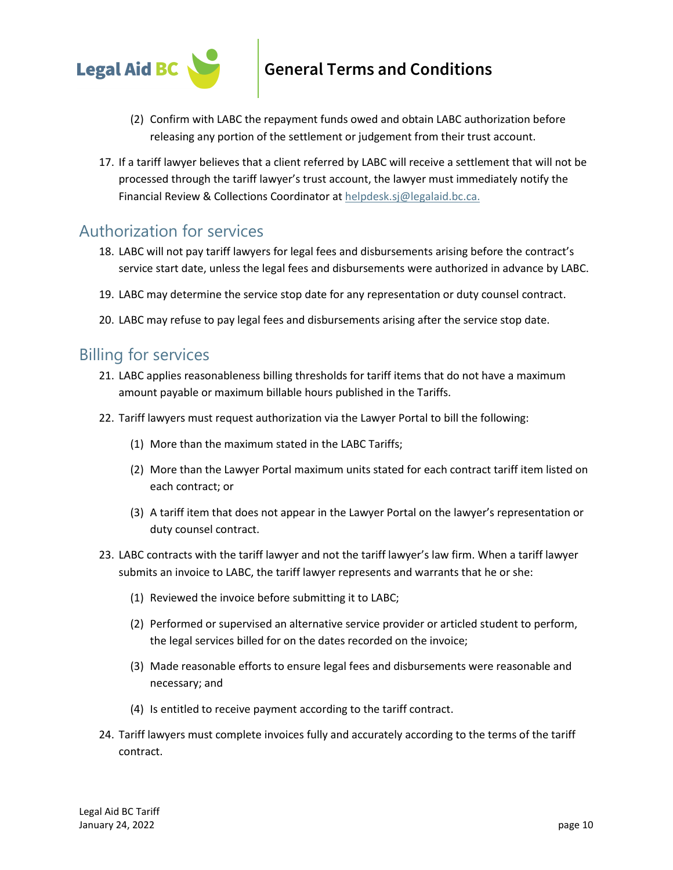

- (2) Confirm with LABC the repayment funds owed and obtain LABC authorization before releasing any portion of the settlement or judgement from their trust account.
- 17. If a tariff lawyer believes that a client referred by LABC will receive a settlement that will not be processed through the tariff lawyer's trust account, the lawyer must immediately notify the Financial Review & Collections Coordinator at [helpdesk.sj@legalaid.bc.ca.](mailto:helpdesk.sj@legalaid.bc.ca)

### Authorization for services

- 18. LABC will not pay tariff lawyers for legal fees and disbursements arising before the contract's service start date, unless the legal fees and disbursements were authorized in advance by LABC.
- 19. LABC may determine the service stop date for any representation or duty counsel contract.
- 20. LABC may refuse to pay legal fees and disbursements arising after the service stop date.

#### Billing for services

- 21. LABC applies reasonableness billing thresholds for tariff items that do not have a maximum amount payable or maximum billable hours published in the Tariffs.
- 22. Tariff lawyers must request authorization via the Lawyer Portal to bill the following:
	- (1) More than the maximum stated in the LABC Tariffs;
	- (2) More than the Lawyer Portal maximum units stated for each contract tariff item listed on each contract; or
	- (3) A tariff item that does not appear in the Lawyer Portal on the lawyer's representation or duty counsel contract.
- 23. LABC contracts with the tariff lawyer and not the tariff lawyer's law firm. When a tariff lawyer submits an invoice to LABC, the tariff lawyer represents and warrants that he or she:
	- (1) Reviewed the invoice before submitting it to LABC;
	- (2) Performed or supervised an alternative service provider or articled student to perform, the legal services billed for on the dates recorded on the invoice;
	- (3) Made reasonable efforts to ensure legal fees and disbursements were reasonable and necessary; and
	- (4) Is entitled to receive payment according to the tariff contract.
- 24. Tariff lawyers must complete invoices fully and accurately according to the terms of the tariff contract.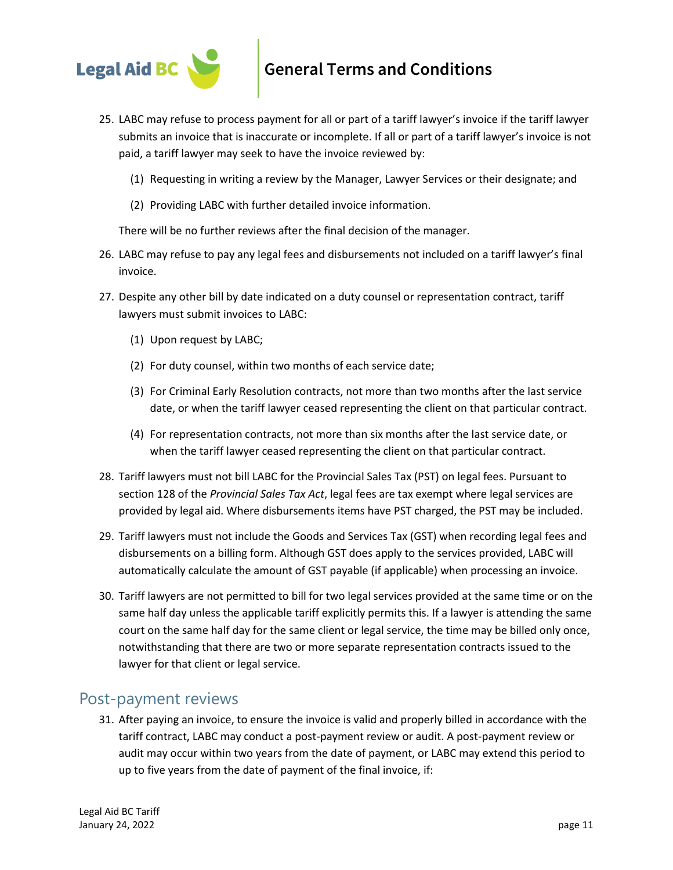

- 25. LABC may refuse to process payment for all or part of a tariff lawyer's invoice if the tariff lawyer submits an invoice that is inaccurate or incomplete. If all or part of a tariff lawyer's invoice is not paid, a tariff lawyer may seek to have the invoice reviewed by:
	- (1) Requesting in writing a review by the Manager, Lawyer Services or their designate; and
	- (2) Providing LABC with further detailed invoice information.

There will be no further reviews after the final decision of the manager.

- 26. LABC may refuse to pay any legal fees and disbursements not included on a tariff lawyer's final invoice.
- 27. Despite any other bill by date indicated on a duty counsel or representation contract, tariff lawyers must submit invoices to LABC:
	- (1) Upon request by LABC;
	- (2) For duty counsel, within two months of each service date;
	- (3) For Criminal Early Resolution contracts, not more than two months after the last service date, or when the tariff lawyer ceased representing the client on that particular contract.
	- (4) For representation contracts, not more than six months after the last service date, or when the tariff lawyer ceased representing the client on that particular contract.
- 28. Tariff lawyers must not bill LABC for the Provincial Sales Tax (PST) on legal fees. Pursuant to section 128 of the *Provincial Sales Tax Act*, legal fees are tax exempt where legal services are provided by legal aid. Where disbursements items have PST charged, the PST may be included.
- 29. Tariff lawyers must not include the Goods and Services Tax (GST) when recording legal fees and disbursements on a billing form. Although GST does apply to the services provided, LABC will automatically calculate the amount of GST payable (if applicable) when processing an invoice.
- 30. Tariff lawyers are not permitted to bill for two legal services provided at the same time or on the same half day unless the applicable tariff explicitly permits this. If a lawyer is attending the same court on the same half day for the same client or legal service, the time may be billed only once, notwithstanding that there are two or more separate representation contracts issued to the lawyer for that client or legal service.

#### Post-payment reviews

31. After paying an invoice, to ensure the invoice is valid and properly billed in accordance with the tariff contract, LABC may conduct a post-payment review or audit. A post-payment review or audit may occur within two years from the date of payment, or LABC may extend this period to up to five years from the date of payment of the final invoice, if: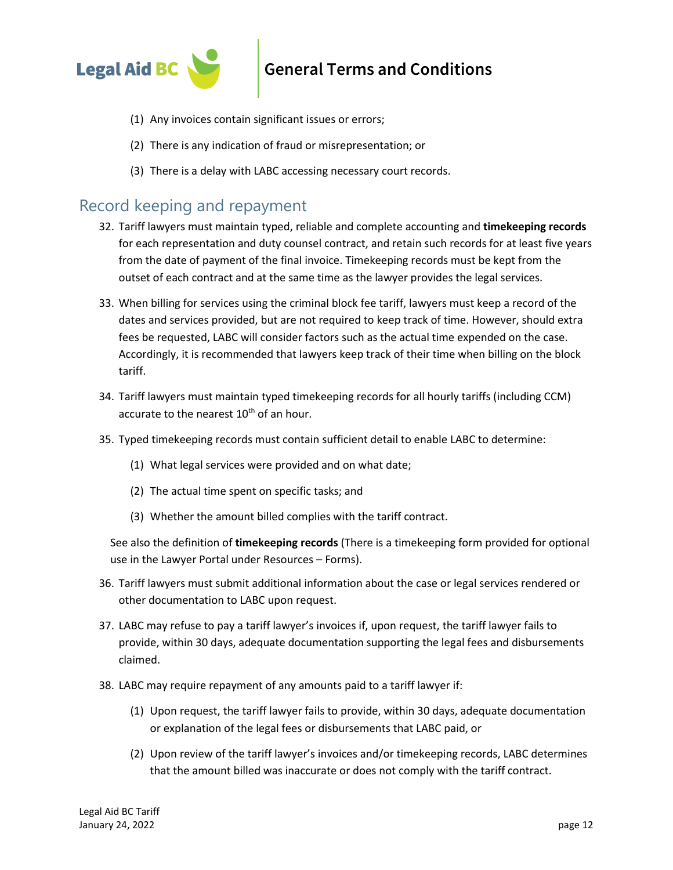

- (1) Any invoices contain significant issues or errors;
- (2) There is any indication of fraud or misrepresentation; or
- (3) There is a delay with LABC accessing necessary court records.

#### Record keeping and repayment

- 32. Tariff lawyers must maintain typed, reliable and complete accounting and **timekeeping records** for each representation and duty counsel contract, and retain such records for at least five years from the date of payment of the final invoice. Timekeeping records must be kept from the outset of each contract and at the same time as the lawyer provides the legal services.
- 33. When billing for services using the criminal block fee tariff, lawyers must keep a record of the dates and services provided, but are not required to keep track of time. However, should extra fees be requested, LABC will consider factors such as the actual time expended on the case. Accordingly, it is recommended that lawyers keep track of their time when billing on the block tariff.
- 34. Tariff lawyers must maintain typed timekeeping records for all hourly tariffs (including CCM) accurate to the nearest  $10<sup>th</sup>$  of an hour.
- 35. Typed timekeeping records must contain sufficient detail to enable LABC to determine:
	- (1) What legal services were provided and on what date;
	- (2) The actual time spent on specific tasks; and
	- (3) Whether the amount billed complies with the tariff contract.

See also the definition of **timekeeping records** (There is a timekeeping form provided for optional use in the Lawyer Portal under Resources – Forms).

- 36. Tariff lawyers must submit additional information about the case or legal services rendered or other documentation to LABC upon request.
- 37. LABC may refuse to pay a tariff lawyer's invoices if, upon request, the tariff lawyer fails to provide, within 30 days, adequate documentation supporting the legal fees and disbursements claimed.
- 38. LABC may require repayment of any amounts paid to a tariff lawyer if:
	- (1) Upon request, the tariff lawyer fails to provide, within 30 days, adequate documentation or explanation of the legal fees or disbursements that LABC paid, or
	- (2) Upon review of the tariff lawyer's invoices and/or timekeeping records, LABC determines that the amount billed was inaccurate or does not comply with the tariff contract.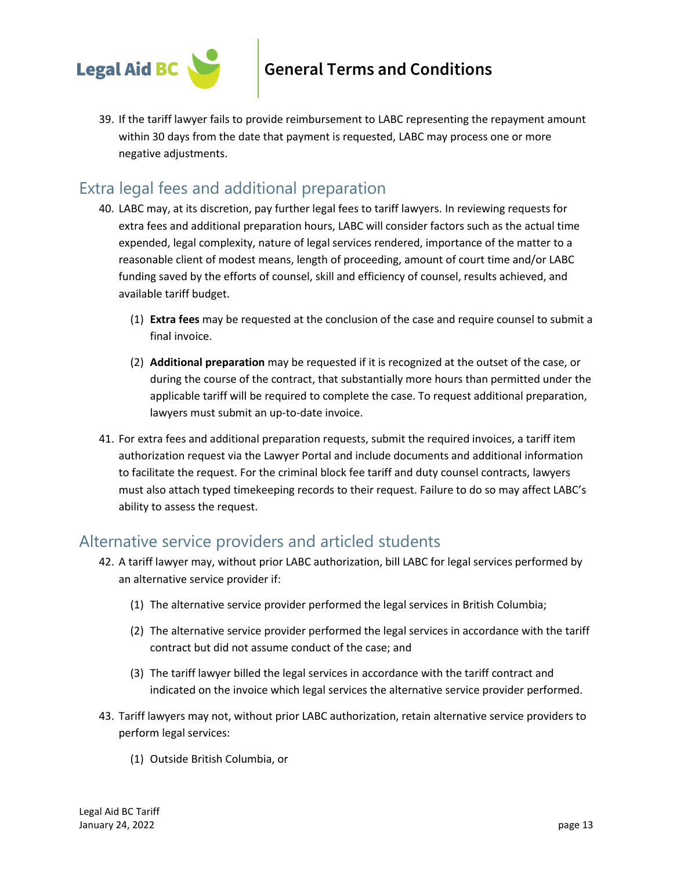

39. If the tariff lawyer fails to provide reimbursement to LABC representing the repayment amount within 30 days from the date that payment is requested, LABC may process one or more negative adjustments.

### Extra legal fees and additional preparation

- 40. LABC may, at its discretion, pay further legal fees to tariff lawyers. In reviewing requests for extra fees and additional preparation hours, LABC will consider factors such as the actual time expended, legal complexity, nature of legal services rendered, importance of the matter to a reasonable client of modest means, length of proceeding, amount of court time and/or LABC funding saved by the efforts of counsel, skill and efficiency of counsel, results achieved, and available tariff budget.
	- (1) **Extra fees** may be requested at the conclusion of the case and require counsel to submit a final invoice.
	- (2) **Additional preparation** may be requested if it is recognized at the outset of the case, or during the course of the contract, that substantially more hours than permitted under the applicable tariff will be required to complete the case. To request additional preparation, lawyers must submit an up-to-date invoice.
- 41. For extra fees and additional preparation requests, submit the required invoices, a tariff item authorization request via the Lawyer Portal and include documents and additional information to facilitate the request. For the criminal block fee tariff and duty counsel contracts, lawyers must also attach typed timekeeping records to their request. Failure to do so may affect LABC's ability to assess the request.

### Alternative service providers and articled students

- 42. A tariff lawyer may, without prior LABC authorization, bill LABC for legal services performed by an alternative service provider if:
	- (1) The alternative service provider performed the legal services in British Columbia;
	- (2) The alternative service provider performed the legal services in accordance with the tariff contract but did not assume conduct of the case; and
	- (3) The tariff lawyer billed the legal services in accordance with the tariff contract and indicated on the invoice which legal services the alternative service provider performed.
- 43. Tariff lawyers may not, without prior LABC authorization, retain alternative service providers to perform legal services:
	- (1) Outside British Columbia, or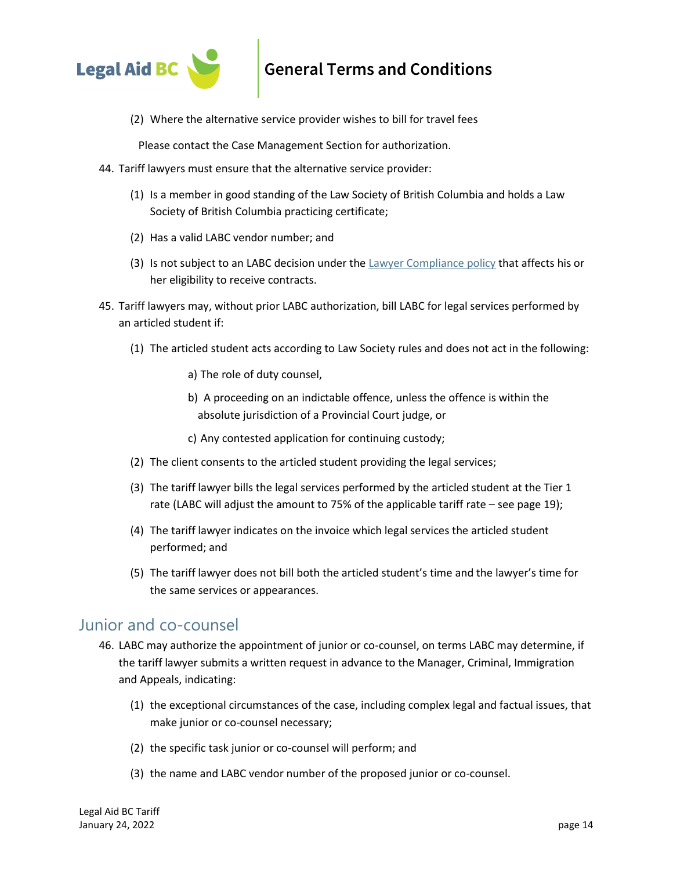

(2) Where the alternative service provider wishes to bill for travel fees

Please contact the Case Management Section for authorization.

- 44. Tariff lawyers must ensure that the alternative service provider:
	- (1) Is a member in good standing of the Law Society of British Columbia and holds a Law Society of British Columbia practicing certificate;
	- (2) Has a valid LABC vendor number; and
	- (3) Is not subject to an LABC decision under the [Lawyer Compliance policy](https://legalaid.bc.ca/lawyers/policies) that affects his or her eligibility to receive contracts.
- 45. Tariff lawyers may, without prior LABC authorization, bill LABC for legal services performed by an articled student if:
	- (1) The articled student acts according to Law Society rules and does not act in the following:
		- a) The role of duty counsel,
		- b) A proceeding on an indictable offence, unless the offence is within the absolute jurisdiction of a Provincial Court judge, or
		- c) Any contested application for continuing custody;
	- (2) The client consents to the articled student providing the legal services;
	- (3) The tariff lawyer bills the legal services performed by the articled student at the Tier 1 rate (LABC will adjust the amount to 75% of the applicable tariff rate – see page 19);
	- (4) The tariff lawyer indicates on the invoice which legal services the articled student performed; and
	- (5) The tariff lawyer does not bill both the articled student's time and the lawyer's time for the same services or appearances.

#### Junior and co-counsel

- 46. LABC may authorize the appointment of junior or co-counsel, on terms LABC may determine, if the tariff lawyer submits a written request in advance to the Manager, Criminal, Immigration and Appeals, indicating:
	- (1) the exceptional circumstances of the case, including complex legal and factual issues, that make junior or co-counsel necessary;
	- (2) the specific task junior or co-counsel will perform; and
	- (3) the name and LABC vendor number of the proposed junior or co-counsel.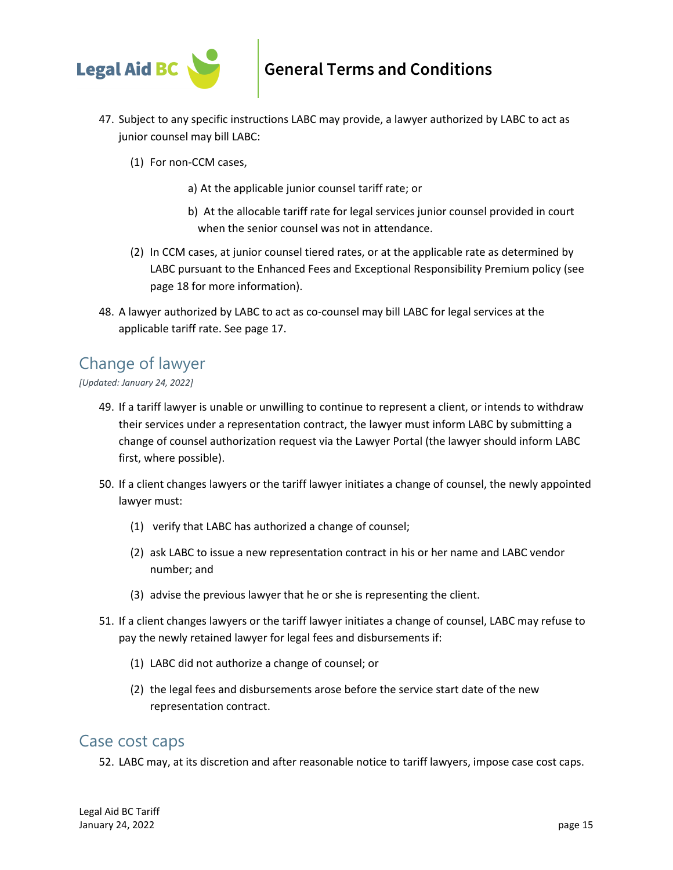

- 47. Subject to any specific instructions LABC may provide, a lawyer authorized by LABC to act as junior counsel may bill LABC:
	- (1) For non-CCM cases,
		- a) At the applicable junior counsel tariff rate; or
		- b) At the allocable tariff rate for legal services junior counsel provided in court when the senior counsel was not in attendance.
	- (2) In CCM cases, at junior counsel tiered rates, or at the applicable rate as determined by LABC pursuant to the Enhanced Fees and Exceptional Responsibility Premium policy (see page 18 for more information).
- 48. A lawyer authorized by LABC to act as co-counsel may bill LABC for legal services at the applicable tariff rate. See page 17.

### Change of lawyer

*[Updated: January 24, 2022]*

- 49. If a tariff lawyer is unable or unwilling to continue to represent a client, or intends to withdraw their services under a representation contract, the lawyer must inform LABC by submitting a change of counsel authorization request via the Lawyer Portal (the lawyer should inform LABC first, where possible).
- 50. If a client changes lawyers or the tariff lawyer initiates a change of counsel, the newly appointed lawyer must:
	- (1) verify that LABC has authorized a change of counsel;
	- (2) ask LABC to issue a new representation contract in his or her name and LABC vendor number; and
	- (3) advise the previous lawyer that he or she is representing the client.
- 51. If a client changes lawyers or the tariff lawyer initiates a change of counsel, LABC may refuse to pay the newly retained lawyer for legal fees and disbursements if:
	- (1) LABC did not authorize a change of counsel; or
	- (2) the legal fees and disbursements arose before the service start date of the new representation contract.

#### Case cost caps

52. LABC may, at its discretion and after reasonable notice to tariff lawyers, impose case cost caps.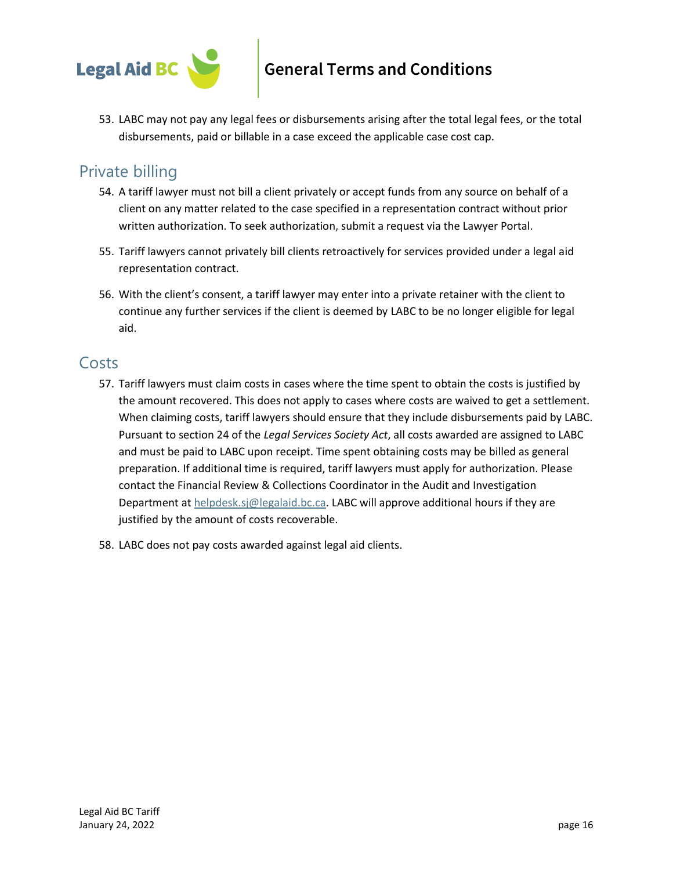

53. LABC may not pay any legal fees or disbursements arising after the total legal fees, or the total disbursements, paid or billable in a case exceed the applicable case cost cap.

### Private billing

- 54. A tariff lawyer must not bill a client privately or accept funds from any source on behalf of a client on any matter related to the case specified in a representation contract without prior written authorization. To seek authorization, submit a request via the Lawyer Portal.
- 55. Tariff lawyers cannot privately bill clients retroactively for services provided under a legal aid representation contract.
- 56. With the client's consent, a tariff lawyer may enter into a private retainer with the client to continue any further services if the client is deemed by LABC to be no longer eligible for legal aid.

### Costs

- 57. Tariff lawyers must claim costs in cases where the time spent to obtain the costs is justified by the amount recovered. This does not apply to cases where costs are waived to get a settlement. When claiming costs, tariff lawyers should ensure that they include disbursements paid by LABC. Pursuant to section 24 of the *Legal Services Society Act*, all costs awarded are assigned to LABC and must be paid to LABC upon receipt. Time spent obtaining costs may be billed as general preparation. If additional time is required, tariff lawyers must apply for authorization. Please contact the Financial Review & Collections Coordinator in the Audit and Investigation Department a[t helpdesk.sj@legalaid.bc.ca.](mailto:helpdesk.sj@legalaid.bc.ca) LABC will approve additional hours if they are justified by the amount of costs recoverable.
- 58. LABC does not pay costs awarded against legal aid clients.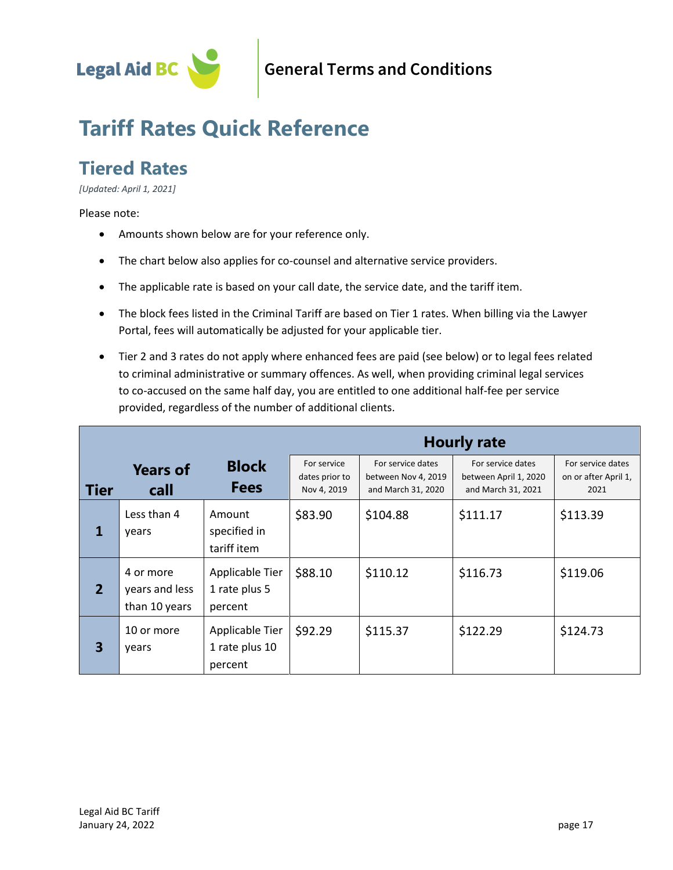

# **Tariff Rates Quick Reference**

# **Tiered Rates**

*[Updated: April 1, 2021]*

#### Please note:

- Amounts shown below are for your reference only.
- The chart below also applies for co-counsel and alternative service providers.
- The applicable rate is based on your call date, the service date, and the tariff item.
- The block fees listed in the Criminal Tariff are based on Tier 1 rates. When billing via the Lawyer Portal, fees will automatically be adjusted for your applicable tier.
- Tier 2 and 3 rates do not apply where enhanced fees are paid (see below) or to legal fees related to criminal administrative or summary offences. As well, when providing criminal legal services to co-accused on the same half day, you are entitled to one additional half-fee per service provided, regardless of the number of additional clients.

|                |                                              |                                              | <b>Hourly rate</b>                           |                                                                |                                                                  |                                                   |
|----------------|----------------------------------------------|----------------------------------------------|----------------------------------------------|----------------------------------------------------------------|------------------------------------------------------------------|---------------------------------------------------|
| l Tier         | <b>Years of</b><br>call                      | <b>Block</b><br><b>Fees</b>                  | For service<br>dates prior to<br>Nov 4, 2019 | For service dates<br>between Nov 4, 2019<br>and March 31, 2020 | For service dates<br>between April 1, 2020<br>and March 31, 2021 | For service dates<br>on or after April 1,<br>2021 |
| 1              | Less than 4<br>years                         | Amount<br>specified in<br>tariff item        | \$83.90                                      | \$104.88                                                       | \$111.17                                                         | \$113.39                                          |
| $\overline{2}$ | 4 or more<br>years and less<br>than 10 years | Applicable Tier<br>1 rate plus 5<br>percent  | \$88.10                                      | \$110.12                                                       | \$116.73                                                         | \$119.06                                          |
| 3              | 10 or more<br>years                          | Applicable Tier<br>1 rate plus 10<br>percent | \$92.29                                      | \$115.37                                                       | \$122.29                                                         | \$124.73                                          |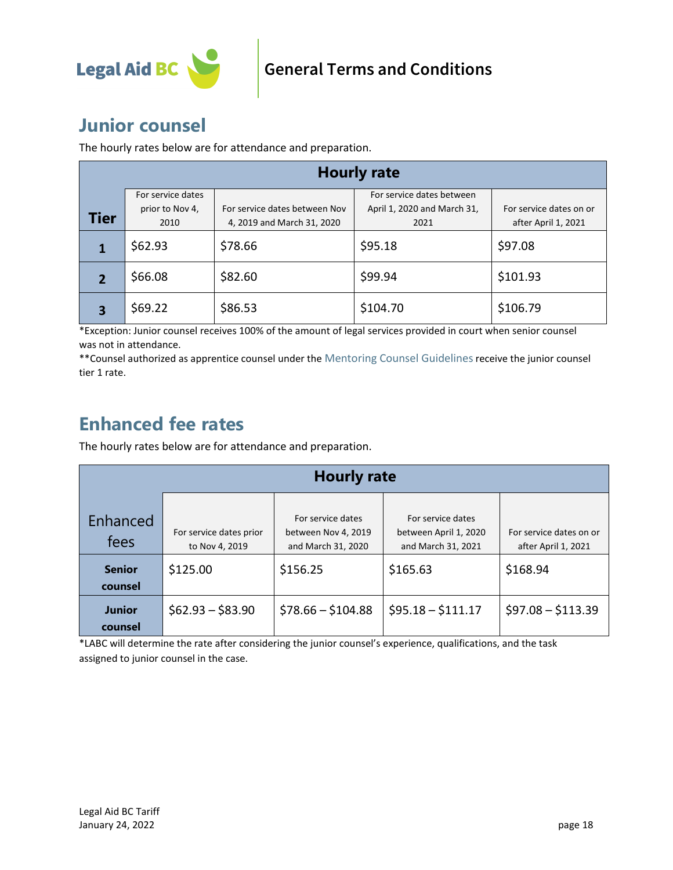

### **Junior counsel**

The hourly rates below are for attendance and preparation.

| <b>Hourly rate</b> |                   |                               |                             |                         |  |
|--------------------|-------------------|-------------------------------|-----------------------------|-------------------------|--|
|                    | For service dates |                               | For service dates between   |                         |  |
| Tier               | prior to Nov 4,   | For service dates between Nov | April 1, 2020 and March 31, | For service dates on or |  |
|                    | 2010              | 4, 2019 and March 31, 2020    | 2021                        | after April 1, 2021     |  |
|                    | \$62.93           | \$78.66                       | \$95.18                     | \$97.08                 |  |
|                    | \$66.08           | \$82.60                       | \$99.94                     | \$101.93                |  |
| 3                  | \$69.22           | \$86.53                       | \$104.70                    | \$106.79                |  |

\*Exception: Junior counsel receives 100% of the amount of legal services provided in court when senior counsel was not in attendance.

\*\* Counsel authorized as apprentice counsel under the [Mentoring Counsel Guidelines](https://legalaid.bc.ca/lawyers/mentoringProjects) receive the junior counsel tier 1 rate.

### **Enhanced fee rates**

The hourly rates below are for attendance and preparation.

|                          | <b>Hourly rate</b>                        |                                                                |                                                                  |                                                |  |  |
|--------------------------|-------------------------------------------|----------------------------------------------------------------|------------------------------------------------------------------|------------------------------------------------|--|--|
| Enhanced<br>fees         | For service dates prior<br>to Nov 4, 2019 | For service dates<br>between Nov 4, 2019<br>and March 31, 2020 | For service dates<br>between April 1, 2020<br>and March 31, 2021 | For service dates on or<br>after April 1, 2021 |  |  |
| <b>Senior</b><br>counsel | \$125.00                                  | \$156.25                                                       | \$165.63                                                         | \$168.94                                       |  |  |
| <b>Junior</b><br>counsel | $$62.93 - $83.90$                         | $$78.66 - $104.88$                                             | $$95.18 - $111.17$                                               | $$97.08 - $113.39$                             |  |  |

\*LABC will determine the rate after considering the junior counsel's experience, qualifications, and the task assigned to junior counsel in the case.